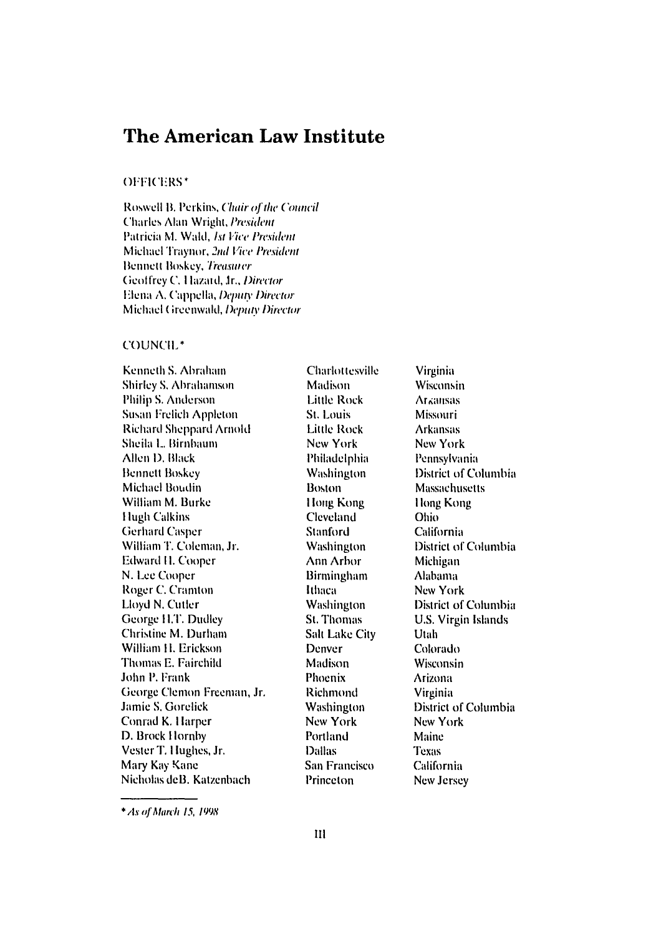# The American Law Institute

# **OFFICERS\***

Roswell B. Perkins, Chair of the Council Charles Alan Wright, President Patricia M. Wald, 1st Vice President Michael Traynor, 2nd Vice President Bennett Boskey, Treasurer Geoffrey C. Hazard, Jr., Director Elena A, Cappella, Deputy Director Michael Greenwald, Deputy Director

#### COUNCIL\*

Kenneth S. Abraham **Shirley S. Abrahamson** Philip S. Anderson **Susan Frelich Appleton Richard Sheppard Arnold** Sheila L. Birnbaum Allen D. Black **Bennett Boskey Michael Boudin** William M. Burke **Hugh Calkins Gerhard Casper** William T. Coleman, Jr. Edward H. Cooper N. Lee Cooper Roger C. Cramton Lloyd N. Cutler George H.T. Dudley Christine M. Durham William H. Erickson Thomas E. Fairchild John P. Frank George Clemon Freeman, Jr. Jamie S. Gorelick Conrad K. Harper D. Brock Hornby Vester T. Hughes, Jr. Mary Kay Kane Nicholas deB. Katzenbach

Charlottesville **Madison Little Rock** St. Louis **Little Rock** New York Philadelphia **Washington Boston** Hong Kong **Cleveland** Stanford **Washington** Ann Arbor **Birmingham** Ithaca **Washington St. Thomas Salt Lake City** Denver Madison Phoenix **Richmond** Washington New York Portland **Dallas** San Francisco Princeton

Virginia Wisconsin **Arzansas** Missouri **Arkansas** New York Pennsylvania **District of Columbia Massachusetts** Hong Kong Ohio. California District of Columbia Michigan **Alabama** New York District of Columbia U.S. Virgin Islands Utah Colorado Wisconsin **Arizona** Virginia **District of Columbia** New York Maine Texas California New Jersey

\* As of March 15, 1998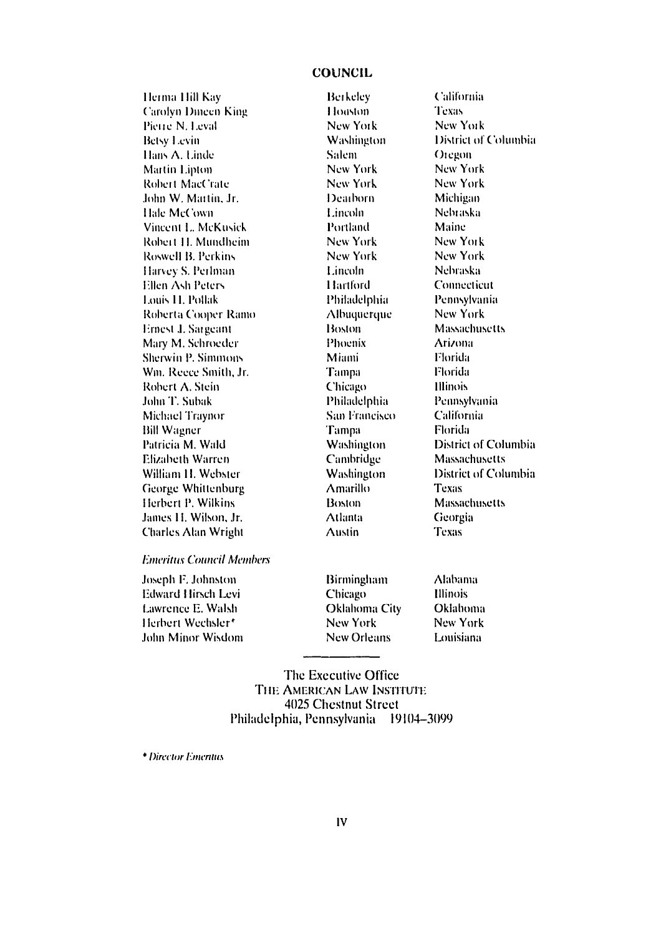# **COUNCIL**

Herma Hill Kay **Carolyn Dineen King** Pierre N. Leval **Betsy Levin** Hans A. Linde Martin Lipton Robert MacCrate John W. Martin, Jr. Hale McCown Vincent L. McKusick Robert H. Mundheim Roswell B. Perkins Harvey S. Perlman Ellen Ash Peters Louis II, Pollak Roberta Cooper Ramo Ernest J. Sargeant Mary M. Schroeder Sherwin P. Simmons Wm. Reece Smith, Jr. Robert A. Stein John T. Subak Michael Traynor **Bill Wagner** Patricia M. Wald Elizabeth Warren William H. Webster George Whittenburg Herbert P. Wilkins James H. Wilson, Jr. **Charles Alan Wright** 

Berkeley Houston New York Washington Salem New York New York Deadorn. Lincoln Portland New York New York Lincoln Hartford Philadelphia Albuquerque Boston Phoenix Miami Tampa Chicago Philadelphia San Francisco **Tampa** Washington **Cambridge Washington** Amarillo **Boston Atlanta Austin** 

**California** Texas New York District of Columbia Oregon New York New York Michigan Nebraska Maine New York New York Nebraska Connecticut Pennsylvania New York **Massachusetts Arizona** Florida Florida **Illinois** Pennsylvania **California** Florida **District of Columbia** Massachusetts District of Columbia Texas Massachusetts Georgia **Texas** 

# **Emeritus Council Members**

Joseph F. Johnston Edward Hirsch Levi Lawrence E. Walsh Herbert Wechsler\* John Minor Wisdom **Birmingham** Chicago Oklahoma City New York **New Orleans** 

**Alabama** Illinois **Oklahoma** New York Louisiana

The Executive Office THE AMERICAN LAW INSTITUTE 4025 Chestnut Street Philadelphia, Pennsylvania 19104-3099

\* Director Emerities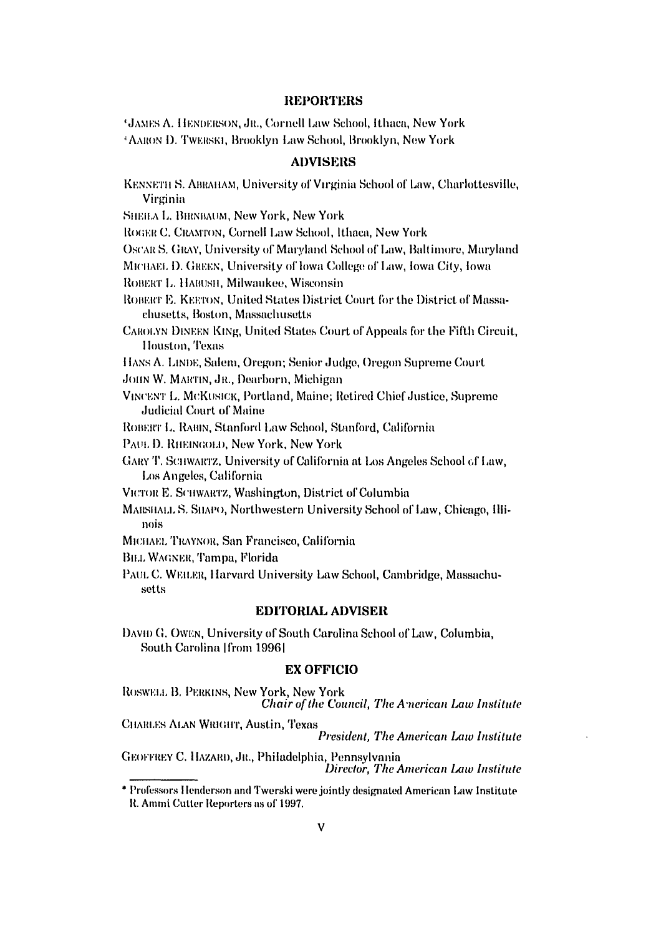# **REPORTERS**

\*JAMES A. HENDERSON, JR., Cornell Law School, Ithaca, New York <sup>4</sup> AARON D. TWERSKI, Brooklyn Law School, Brooklyn, New York

# **ADVISERS**

| KENNETH S. ABRAHAM, University of Virginia School of Law, Charlottesville, |  |  |
|----------------------------------------------------------------------------|--|--|
| Virginia                                                                   |  |  |

SHEILA L. BIRNBAUM, New York, New York

ROGER C. CRAMTON, Cornell Law School, Ithaca, New York

OSCAR S. GRAY, University of Maryland School of Law, Baltimore, Maryland

MICHAEL D. GREEN, University of lowa College of Law, Iowa City, Iowa

ROBERT L. HABUSH, Milwaukee, Wisconsin

ROBERT E. KEETON, United States District Court for the District of Massachusetts, Boston, Massachusetts

CAROLYN DINEEN KING, United States Court of Appeals for the Fifth Circuit, Houston, Texas

HANS A. LINDE, Salem, Oregon; Senior Judge, Oregon Supreme Court

JOHN W. MARTIN, JR., Dearborn, Michigan

VINCENT L. MCKUSICK, Portland, Maine; Retired Chief Justice, Supreme **Judicial Court of Maine** 

ROBERT L. RABIN, Stanford Law School, Stanford, California

- PAUL D. RHEINGOLD, New York, New York
- GARY T. SCHWARTZ, University of California at Los Angeles School of Law, Los Angeles, California

VICTOR E. SCHWARTZ, Washington, District of Columbia

MARSHALL S. SHAPO, Northwestern University School of Law, Chicago, Hlinois

- MICHAEL TRAYNOR, San Francisco, California
- **BILL WAGNER, Tampa, Florida**

PAUL C. WEILER, Harvard University Law School, Cambridge, Massachusetts

# **EDITORIAL ADVISER**

DAVID G. OWEN, University of South Carolina School of Law, Columbia, South Carolina Ifrom 19961

#### **EX OFFICIO**

ROSWELL B. PERKINS, New York, New York Chair of the Council, The American Law Institute

CHARLES ALAN WRIGHT, Austin, Texas President, The American Law Institute

GEOFFREY C. HAZARD, JR., Philadelphia, Pennsylvania Director, The American Law Institute

<sup>\*</sup> Professors Henderson and Twerski were jointly designated American Law Institute R. Ammi Cutter Reporters as of 1997.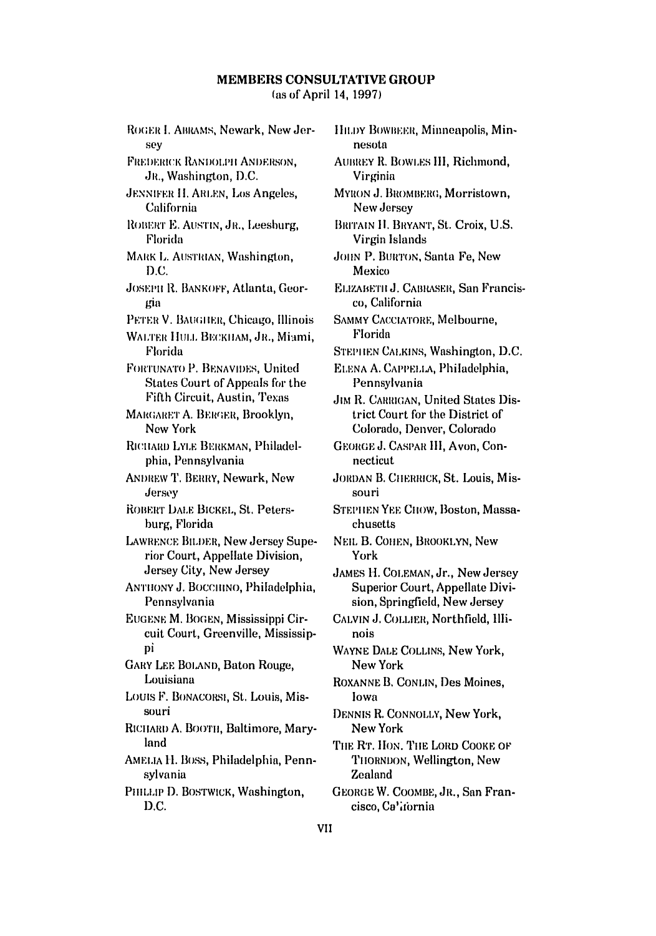(as of April 14, 1997)

ROGER I. ABRAMS, Newark, New Jersev FREDERICK RANDOLPH ANDERSON. JR., Washington, D.C. **JENNIFER II. ARLEN, Los Angeles.** California ROBERT E. AUSTIN, JR., Leesburg, Florida MARK L. AUSTRIAN, Washington,  $D.C.$ JOSEPH R. BANKOFF, Atlanta, Georgia PETER V. BAUGHER, Chicago, Illinois WALTER HULL BECKHAM, JR., Miami, Florida FORTUNATO P. BENAVIDES, United **States Court of Appeals for the** Fifth Circuit, Austin, Texas MARGARET A. BERGER, Brooklyn, New York RICHARD LYLE BERKMAN, Philadelphia, Pennsylvania **ANDREW T. BERRY, Newark, New** Jersey ROBERT DALE BICKEL, St. Petersburg, Florida LAWRENCE BILDER, New Jersey Superior Court, Appellate Division, Jersey City, New Jersey ANTHONY J. BOCCHINO, Philadelphia, Pennsylvania EUGENE M. BOGEN, Mississippi Circuit Court, Greenville, Mississipрì **GARY LEE BOLAND, Baton Rouge,** Louisiana LOUIS F. BONACORSI, St. Louis, Missouri RICHARD A. BOOTH, Baltimore, Maryland AMELIA H. BOSS, Philadelphia, Pennsylvania PHILLIP D. BOSTWICK, Washington, D.C.

HILDY BOWBEER, Minneapolis, Minnesota AUBREY R. BOWLES III, Richmond, Virginia MYRON J. BROMBERG, Morristown, New Jersey BRITAIN H. BRYANT, St. Croix, U.S. Virgin Islands JOHN P. BURTON, Santa Fe, New Mexico ELIZABETH J. CABRASER, San Francisco. California **SAMMY CACCIATORE, Melbourne,** Florida STEPHEN CALKINS, Washington, D.C. ELENA A. CAPPELLA, Philadelphia, Pennsylvania **JIM R. CARRIGAN, United States Dis**trict Court for the District of Colorado, Denver, Colorado GEORGE J. CASPAR III, Avon, Connecticut **JORDAN B. CHERRICK, St. Louis, Mis**souri STEPHEN YEE CHOW, Boston, Massachusetts NEIL B. COHEN, BROOKLYN, New York JAMES H. COLEMAN, Jr., New Jersey Superior Court, Appellate Division, Springfield, New Jersey CALVIN J. COLLIER, Northfield, Illinois WAYNE DALE COLLINS, New York, New York ROXANNE B. CONLIN, Des Moines, lowa DENNIS R. CONNOLLY, New York, New York THE RT. HON. THE LORD COOKE OF THORNDON, Wellington, New Zealand GEORGE W. COOMBE, JR., San Francisco, Ca'itornia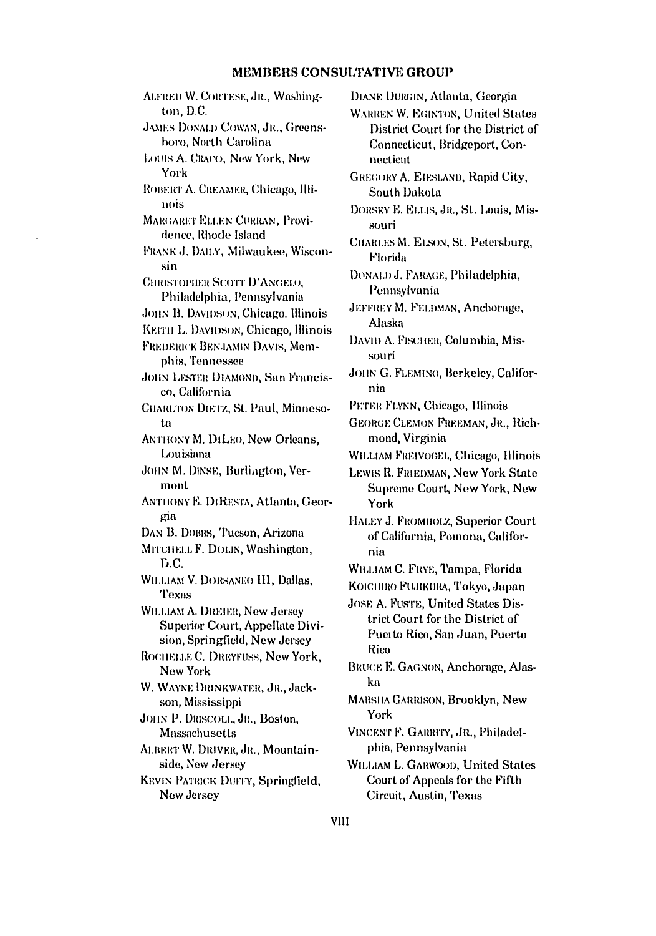ALFRED W. CORTESE, JR., Washington, D.C. **JAMES DONALD COWAN, JR., Greens**boro, North Carolina LOUIS A. CRACO, New York, New York ROBERT A. CREAMER, Chicago, Illinois MARGARET ELLEN CURRAN, Providence, Rhode Island FRANK J. DAILY, Milwaukee, Wisconsin **CHRISTOPHER SCOTT D'ANGELO.** Philadelphia, Pennsylvania **JOHN B. DAVIDSON, Chicago. Illinois** KEITH L. DAVIDSON, Chicago, Illinois FREDERICK BENJAMIN DAVIS, Memphis. Tennessee **JOHN LESTER DIAMOND, San Francis**co, California CHARLTON DIETZ, St. Paul, Minnesota **ANTHONY M. DILEO, New Orleans,** Louisiana JOHN M. DINSE, Burlington, Vermont ANTHONY E. DIRESTA, Atlanta, Georgia DAN B. DOBBS, Tueson, Arizona MITCHELL F. DOLIN, Washington, D.C. WILLIAM V. DORSANEO III, Dallas, Texas **WILLIAM A. DREIER, New Jersey** Superior Court, Appellate Division, Springfield, New Jersey ROCHELLE C. DREYFUSS, New York, New York W. WAYNE DRINKWATER, JR., Jackson, Mississippi JOHN P. DRISCOLL, JR., Boston, Massachusetts ALBERT W. DRIVER, JR., Mountainside, New Jersey KEVIN PATRICK DUFFY, Springfield, New Jersey

DIANE DURGIN, Atlanta, Georgia **WARREN W. EGINTON, United States** District Court for the District of Connecticut, Bridgeport, Connecticut **GREGORY A. EIESLAND, Rapid City,** South Dakota DORSEY E. ELLIS, JR., St. Louis, Missouri CHARLES M. ELSON, St. Petersburg, Florida DONALD J. FARAGE, Philadelphia, Pennsylvania JEFFREY M. FELDMAN, Anchorage, **Alaska** DAVID A. FISCHER, Columbia, Missouri JOHN G. FLEMING, Berkeley, California PETER FLYNN, Chicago, Hlinois GEORGE CLEMON FREEMAN, JR., Richmond, Virginia WILLIAM FREIVOGEL, Chicago, Illinois LEWIS R. FRIEDMAN, New York State **Supreme Court, New York, New** York HALEY J. FROMHOLZ, Superior Court of California, Pomona, California WILLIAM C. FRYE, Tampa, Florida KOICHIRO FUJIKURA, Tokyo, Japan JOSE A. FUSTE, United States District Court for the District of Puerto Rico, San Juan, Puerto Rico BRUCE E. GAGNON, Anchorage, Alaska **MARSHA GARRISON, Brooklyn, New** York VINCENT F. GARRITY, JR., Philadelphia, Pennsylvania **WILLIAM L. GARWOOD, United States** Court of Appeals for the Fifth Circuit, Austin, Texas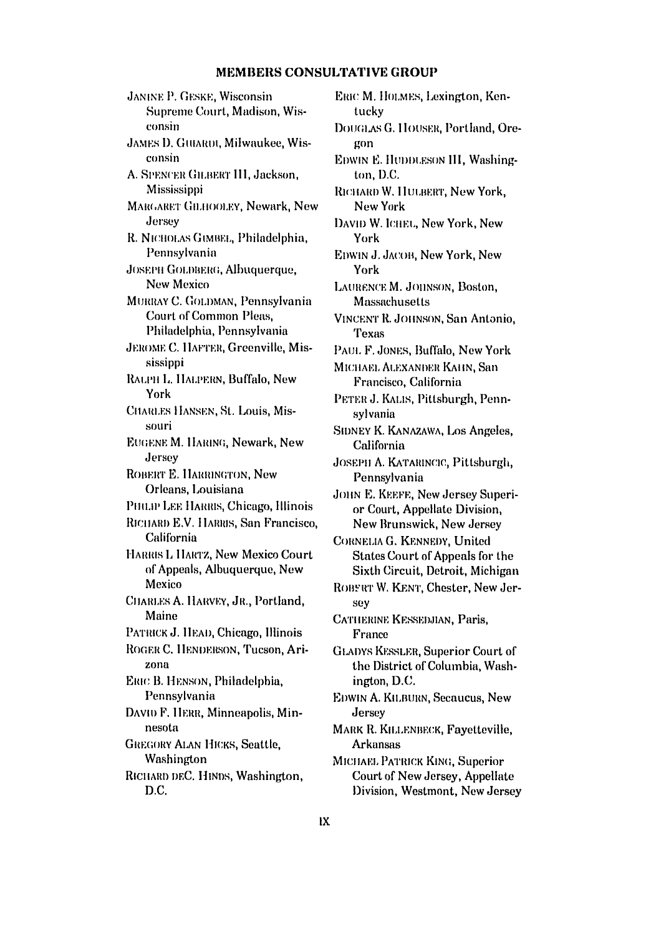**JANINE P. GESKE, Wisconsin** Supreme Court, Madison, Wisconsin JAMES D. GUIAROU, Milwaukee, Wisconsin A. SPENCER GILBERT III, Jackson, Mississippi MARGARET GILHOOLEY, Newark, New Jersey R. NICHOLAS GIMBEL, Philadelphia, Pennsylvania **JOSEPH GOLDBERG, Albuquerque, New Mexico** MURRAY C. GOLDMAN, Pennsylvania Court of Common Pleas, Philadelphia, Pennsylvania JEROME C. HAFTER, Greenville, Mississippi RALPH L. HALPERN, Buffalo, New York CHARLES HANSEN, St. Louis, Missouri **EUGENE M. HARING, Newark, New** Jersey **ROBERT E. HARRINGTON, New** Orleans, Louisiana PHILIP LEE HARRIS, Chicago, Illinois RICHARD E.V. HARRIS, San Francisco, California HARRIS L HARTZ, New Mexico Court of Appeals, Albuquerque, New Mexico CHARLES A. HARVEY, JR., Portland, Maine PATRICK J. HEAD, Chicago, Illinois ROGER C. HENDERSON, Tucson, Arizona ERIC B. HENSON, Philadelphia, Pennsylvania DAVIO F. HERR, Minneapolis, Minnesota **GREGORY ALAN HICKS, Seattle,** Washington RICHARD DEC. HINDS, Washington, D.C.

ERIC M. HOLMES, Lexington, Kentucky DOUGLAS G. HOUSER, Portland, Oregon EDWIN E. HUDDLESON III, Washington, D.C. RICHARD W. HULBERT, New York, New York DAVID W. ICHEL, New York, New York EDWIN J. JACOB, New York, New York LAURENCE M. JOHNSON, Boston, Massachusetts VINCENT R. JOHNSON, San Antonio, **Texas** PAUL F. JONES, Buffalo, New York MICHAEL ALEXANDER KAHN, San Francisco, California PETER J. KALIS, Pittsburgh, Pennsylvania SIDNEY K. KANAZAWA, Los Angeles, California JOSEPH A. KATARINCIC, Pittsburgh, Pennsylvania JOHN E. KEEFE, New Jersey Superior Court, Appellate Division, New Brunswick, New Jersey CORNELIA G. KENNEDY, United States Court of Appeals for the Sixth Circuit, Detroit, Michigan ROBERT W. KENT, Chester, New Jersey CATHERINE KESSEDJIAN, Paris, France **GLADYS KESSLER, Superior Court of** the District of Columbia, Washington, D.C. EDWIN A. KILBURN, Secaucus, New Jersey MARK R. KILLENBECK, Fayetteville, **Arkansas** MICHAEL PATRICK KING, Superior Court of New Jersey, Appellate Division, Westmont, New Jersey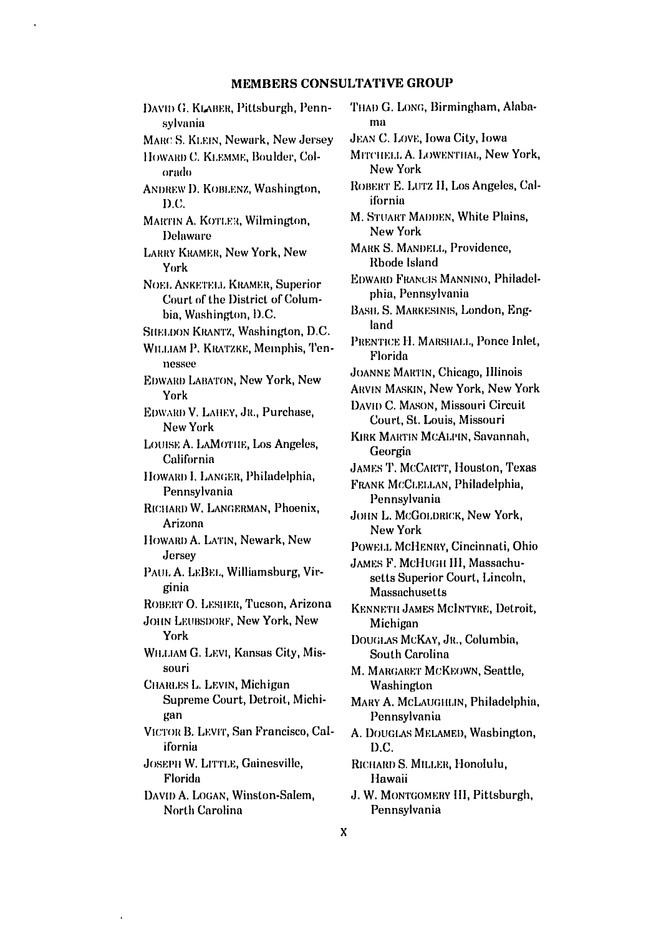DAVID G. KLABER, Pittsburgh, Pennsylvania MARC S. KLEIN, Newark, New Jersey HOWARD C. KLEMME, Boulder, Colorado ANDREW D. KOBLENZ, Washington,  $D.C.$ MARTIN A. KOTLER, Wilmington, **Delaware LARRY KRAMER, New York, New** York NOEL ANKETELL KRAMER, Superior Court of the District of Columbia, Washington, D.C. SHELDON KRANTZ, Washington, D.C. WILLIAM P. KRATZKE, Memphis, Tennessee **EDWARD LABATON, New York, New** York EDWARD V. LAHEY, JR., Purchase, New York LOUISE A. LAMOTHE, Los Angeles, California HOWARD I. LANGER, Philadelphia, Pennsylvania RICHARD W. LANGERMAN, Phoenix, Arizona HOWARD A. LATIN, Newark, New Jersey PAUL A. LEBEL, Williamsburg, Virginia ROBERT O. LESHER, Tucson, Arizona JOHN LEUBSDORF, New York, New York WH.LIAM G. LEVI, Kansas City, Missouri CHARLES L. LEVIN, Michigan Supreme Court, Detroit, Michigan VICTOR B. LEVIT, San Francisco, California JOSEPH W. LITTLE, Gainesville, Florida DAVID A. LOGAN, Winston-Salem, **North Carolina** 

THAD G. LONG, Birmingham, Alabama

JEAN C. LOVE, Iowa City, Iowa

MITCHELL A. LOWENTHAL, New York, New York

ROBERT E. LUTZ II, Los Angeles, California

M. STUART MADDEN, White Plains, New York

MARK S. MANDELL, Providence, Rhode Island

EDWARD FRANCIS MANNINO, Philadelphia, Pennsylvania

BASIL S. MARKESINIS, London, England

PRENTICE H. MARSHALL, Ponce Inlet, Florida

JOANNE MARTIN, Chicago, Illinois

ARVIN MASKIN, New York, New York

DAVID C. MASON, Missouri Circuit Court, St. Louis, Missouri

KIRK MARTIN MCALPIN, Savannah, Georgia

**JAMES T. MCCARTT, Houston, Texas** 

FRANK MCCLELLAN, Philadelphia, Pennsylvania

JOHN L. MCGOLDRICK, New York, New York

POWELL MCHENRY, Cincinnati, Ohio

JAMES F. MCHUGH III, Massachusetts Superior Court, Lincoln, Massachusetts

KENNETH JAMES MCINTYRE, Detroit, Michigan

DOUGLAS MCKAY, JR., Columbia, South Carolina

M. MARGARET MCKEOWN, Seattle, Washington

MARY A. MCLAUGHLIN, Philadelphia, Pennsylvania

A. DOUGLAS MELAMED, Washington, D.C.

RICHARD S. MILLER, Honolulu, Hawaii

J. W. MONTGOMERY HI, Pittsburgh, Pennsylvania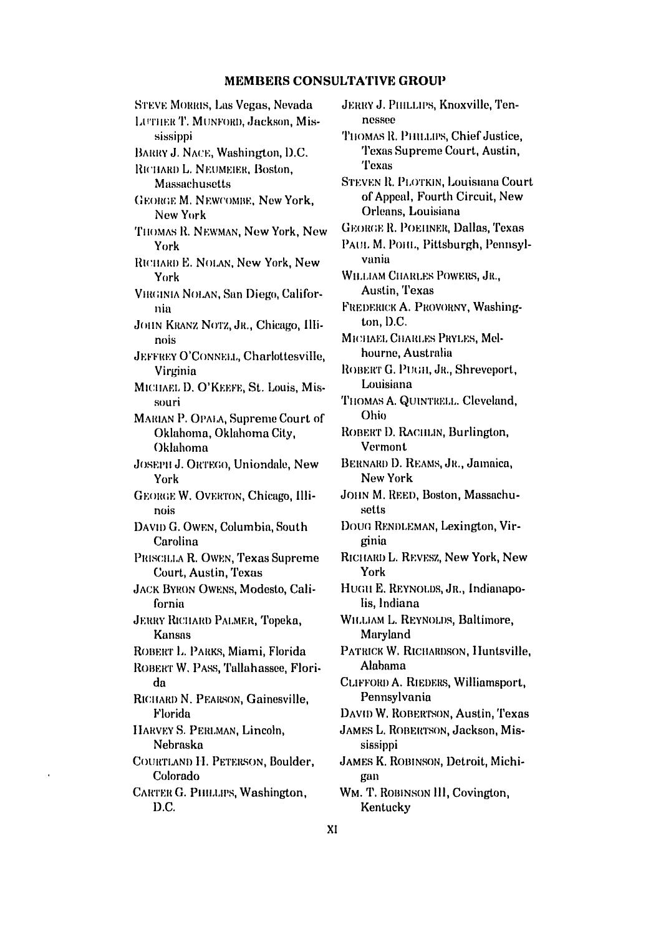**STEVE MORRIS, Las Vegas, Nevada** LUTHER T. MUNFORD, Jackson, Mississippi BARRY J. NACE, Washington, D.C. RICHARD L. NEUMEIER, Boston, Massachusetts **GEORGE M. NEWCOMBE. New York.** New York THOMAS R. NEWMAN, New York, New York RICHARD E. NOLAN, New York, New York VIRGINIA NOLAN, San Diego, California JOHN KRANZ NOTZ, JR., Chicago, Illinois **JEFFREY O'CONNELL, Charlottesville.** Virginia MICHAEL D. O'KEEFE, St. Louis, Missouri MARIAN P. OPALA, Supreme Court of Oklahoma, Oklahoma City, Oklahoma JOSEPH J. ORTEGO, Uniondale, New York GEORGE W. OVERTON, Chicago, Illinois DAVID G. OWEN, Columbia, South Carolina PRISCILLA R. OWEN, Texas Supreme Court, Austin, Texas **JACK BYRON OWENS, Modesto, Cali**fornia JERRY RICHARD PALMER, Topeka, Kansas ROBERT L. PARKS, Miami, Florida ROBERT W. PASS, Tallahassee, Florida RICHARD N. PEARSON, Gainesville, Florida HARVEY S. PERLMAN, Lincoln, Nebraska COURTLAND H. PETERSON, Boulder, Colorado CARTER G. PHILLIPS, Washington, D.C.

JERRY J. PHILLIPS, Knoxville, Tennessee

THOMAS R. PHILLIPS, Chief Justice. Texas Supreme Court, Austin, **Texas** 

**STEVEN R. PLOTKIN, Louisiana Court** of Appeal, Fourth Circuit, New Orleans, Louisiana

**GEORGE R. POEIINER, Dallas, Texas** 

PAUL M. POHL, Pittsburgh, Pennsylvania

WILLIAM CHARLES POWERS, JR., Austin, Texas

FREDERICK A. PROVORNY, Washington, D.C.

MICHAEL CHARLES PRYLES, Melhourne, Australia

ROBERT G. PUGH, JR., Shreveport, Louisiana

THOMAS A. QUINTRELL. Cleveland, Ohio

ROBERT D. RACHLIN, Burlington, **Vermont** 

BERNARD D. REAMS, JR., Jamaica, **New York** 

JOHN M. REED, Boston, Massachusetts

DOUG RENDLEMAN, Lexington, Virginia

RICHARD L. REVESZ, New York, New York

HUGH E. REYNOLDS, JR., Indianapolis. Indiana

WILLIAM L. REYNOLDS, Baltimore, Maryland

PATRICK W. RICHARDSON, Huntsville, Alabama

CLIFFORD A. RIEDERS, Williamsport, Pennsylvania

DAVID W. ROBERTSON, Austin, Texas

JAMES L. ROBERTSON, Jackson, Mississippi

**JAMES K. ROBINSON, Detroit, Michi**gan

WM. T. ROBINSON III, Covington, Kentucky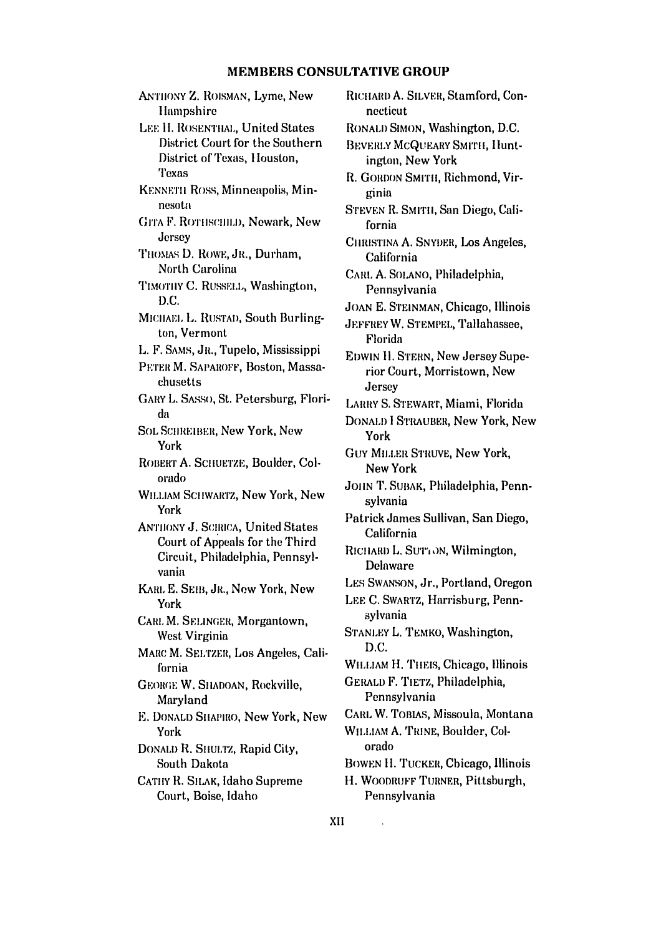ANTHONY Z. ROISMAN, Lyme, New Hampshire LEE H. ROSENTHAL, United States District Court for the Southern District of Texas, Houston, **Texas** KENNETH ROSS, Minneapolis, Minnesota GITA F. ROTHSCHILD, Newark, New Jersey THOMAS D. ROWE, JR., Durham, North Carolina TIMOTHY C. RUSSELL, Washington, D.C. MICHAEL L. RUSTAD, South Burlington, Vermont L. F. SAMS, JR., Tupelo, Mississippi PETER M. SAPAROFF, Boston, Massachusetts GARY L. SASSO, St. Petersburg, Florida **SOL SCHREIBER, New York, New** York ROBERT A. SCHUETZE, Boulder, Colorado WILLIAM SCHWARTZ, New York, New York **ANTHONY J. SCIRICA, United States** Court of Appeals for the Third Circuit, Philadelphia, Pennsylvania KARL E. SEIB, JR., New York, New York CARL M. SELINGER, Morgantown, West Virginia MARC M. SELTZER, Los Angeles, California **GEORGE W. SHADOAN, Rockville,** Maryland E. DONALD SHAPIRO, New York, New York DONALD R. SHULTZ, Rapid City, South Dakota CATHY R. SILAK, Idaho Supreme Court, Boise, Idaho

RICHARD A. SILVER, Stamford, Con*necticut*. RONALD SIMON, Washington, D.C. BEVERLY MCQUEARY SMITH, Huntington, New York R. GORDON SMITH, Richmond, Virginia STEVEN R. SMITH, San Diego, California CHRISTINA A. SNYDER, Los Angeles. California CARL A. SOLANO, Philadelphia, Pennsylvania JOAN E. STEINMAN, Chicago, Illinois JEFFREY W. STEMPEL, Tallahassee, Florida **EDWIN H. STERN, New Jersey Supe**rior Court, Morristown, New Jersey LARRY S. STEWART, Miami, Florida DONALD I STRAUBER, New York, New York **GUY MILLER STRUVE, New York, New York** JOHN T. SUBAK, Philadelphia, Pennsylvania Patrick James Sullivan, San Diego, California RICHARD L. SUTTON, Wilmington, **Delaware** LES SWANSON, Jr., Portland, Oregon LEE C. SWARTZ, Harrisburg, Pennsylvania STANLEY L. TEMKO, Washington, D.C. WILLIAM H. THEIS, Chicago, Illinois GERALD F. TIETZ, Philadelphia, Pennsylvania CARL W. TOBIAS, Missoula, Montana WILLIAM A. TRINE, Boulder, Colorado BOWEN H. TUCKER, Chicago, Illinois H. WOODRUFF TURNER, Pittsburgh, Pennsylvania